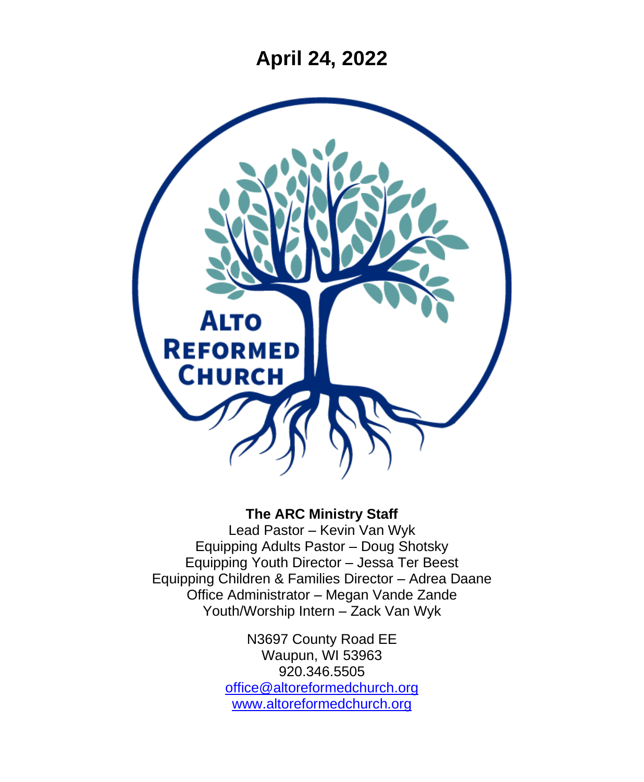**April 24, 2022**



#### **The ARC Ministry Staff**

Lead Pastor – Kevin Van Wyk Equipping Adults Pastor – Doug Shotsky Equipping Youth Director – Jessa Ter Beest Equipping Children & Families Director – Adrea Daane Office Administrator – Megan Vande Zande Youth/Worship Intern – Zack Van Wyk

> N3697 County Road EE Waupun, WI 53963 920.346.5505 [office@altoreformedchurch.org](mailto:office@altoreformedchurch.org) [www.altoreformedchurch.org](http://www.altoreformedchurch.org/)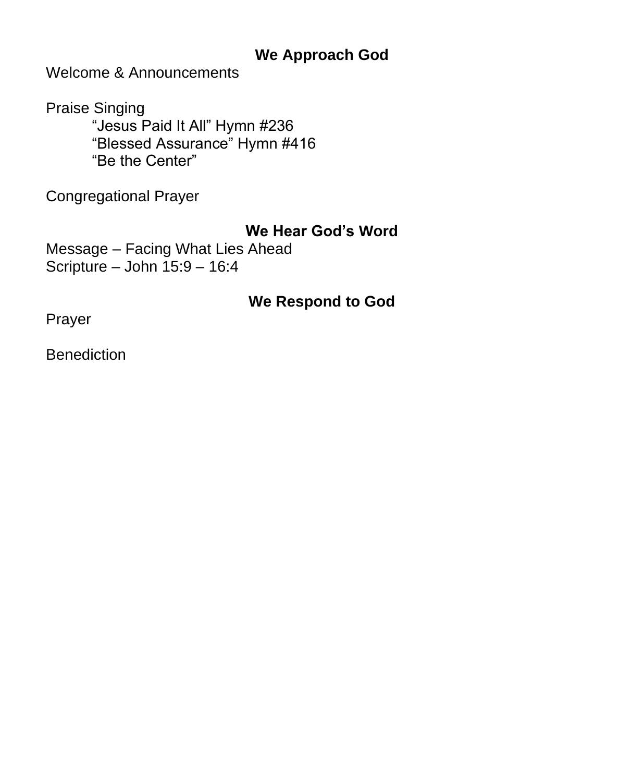### **We Approach God**

Welcome & Announcements

Praise Singing "Jesus Paid It All" Hymn #236 "Blessed Assurance" Hymn #416 "Be the Center"

Congregational Prayer

#### **We Hear God's Word**

Message – Facing What Lies Ahead Scripture – John 15:9 – 16:4

#### **We Respond to God**

Prayer

**Benediction**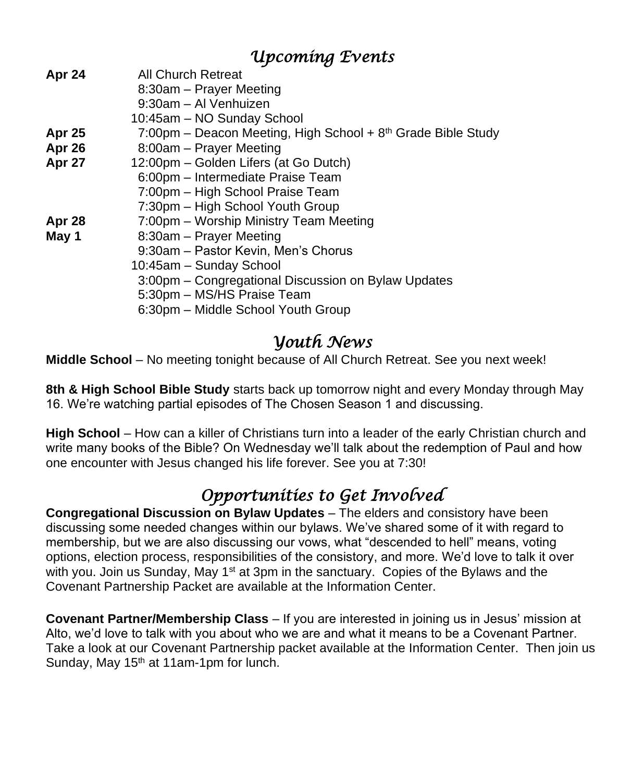### *Upcoming Events*

| Apr 24        | <b>All Church Retreat</b>                                      |  |  |
|---------------|----------------------------------------------------------------|--|--|
|               | 8:30am – Prayer Meeting                                        |  |  |
|               | 9:30am - Al Venhuizen                                          |  |  |
|               | 10:45am - NO Sunday School                                     |  |  |
| <b>Apr 25</b> | 7:00pm – Deacon Meeting, High School + $8th$ Grade Bible Study |  |  |
| Apr 26        | 8:00am - Prayer Meeting                                        |  |  |
| Apr 27        | 12:00pm - Golden Lifers (at Go Dutch)                          |  |  |
|               | 6:00pm – Intermediate Praise Team                              |  |  |
|               | 7:00pm - High School Praise Team                               |  |  |
|               | 7:30pm - High School Youth Group                               |  |  |
| Apr 28        | 7:00pm - Worship Ministry Team Meeting                         |  |  |
| May 1         | 8:30am - Prayer Meeting                                        |  |  |
|               | 9:30am - Pastor Kevin, Men's Chorus                            |  |  |
|               | 10:45am - Sunday School                                        |  |  |
|               | 3:00pm – Congregational Discussion on Bylaw Updates            |  |  |
|               | 5:30pm - MS/HS Praise Team                                     |  |  |
|               | 6:30pm - Middle School Youth Group                             |  |  |
|               |                                                                |  |  |

### *Youth News*

**Middle School** – No meeting tonight because of All Church Retreat. See you next week!

**8th & High School Bible Study** starts back up tomorrow night and every Monday through May 16. We're watching partial episodes of The Chosen Season 1 and discussing.

**High School** – How can a killer of Christians turn into a leader of the early Christian church and write many books of the Bible? On Wednesday we'll talk about the redemption of Paul and how one encounter with Jesus changed his life forever. See you at 7:30!

# *Opportunities to Get Involved*

**Congregational Discussion on Bylaw Updates** – The elders and consistory have been discussing some needed changes within our bylaws. We've shared some of it with regard to membership, but we are also discussing our vows, what "descended to hell" means, voting options, election process, responsibilities of the consistory, and more. We'd love to talk it over with you. Join us Sunday, May 1<sup>st</sup> at 3pm in the sanctuary. Copies of the Bylaws and the Covenant Partnership Packet are available at the Information Center.

**Covenant Partner/Membership Class** – If you are interested in joining us in Jesus' mission at Alto, we'd love to talk with you about who we are and what it means to be a Covenant Partner. Take a look at our Covenant Partnership packet available at the Information Center. Then join us Sunday, May  $15<sup>th</sup>$  at 11am-1pm for lunch.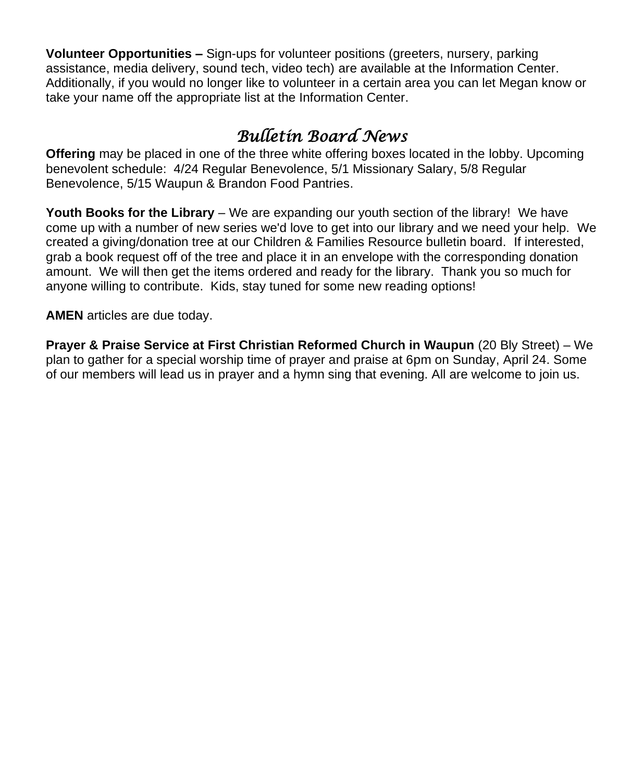**Volunteer Opportunities –** Sign-ups for volunteer positions (greeters, nursery, parking assistance, media delivery, sound tech, video tech) are available at the Information Center. Additionally, if you would no longer like to volunteer in a certain area you can let Megan know or take your name off the appropriate list at the Information Center.

## *Bulletin Board News*

**Offering** may be placed in one of the three white offering boxes located in the lobby. Upcoming benevolent schedule: 4/24 Regular Benevolence, 5/1 Missionary Salary, 5/8 Regular Benevolence, 5/15 Waupun & Brandon Food Pantries.

**Youth Books for the Library** – We are expanding our youth section of the library! We have come up with a number of new series we'd love to get into our library and we need your help. We created a giving/donation tree at our Children & Families Resource bulletin board. If interested, grab a book request off of the tree and place it in an envelope with the corresponding donation amount. We will then get the items ordered and ready for the library. Thank you so much for anyone willing to contribute. Kids, stay tuned for some new reading options!

**AMEN** articles are due today.

**Prayer & Praise Service at First Christian Reformed Church in Waupun** (20 Bly Street) – We plan to gather for a special worship time of prayer and praise at 6pm on Sunday, April 24. Some of our members will lead us in prayer and a hymn sing that evening. All are welcome to join us.